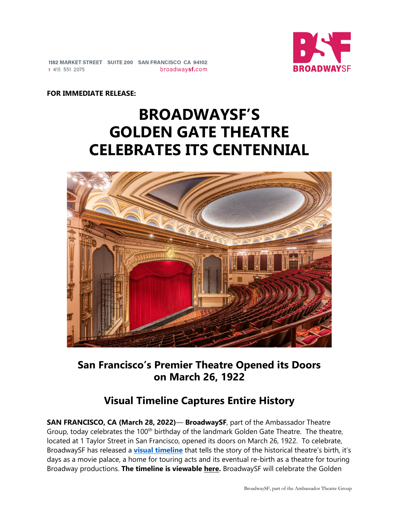

1182 MARKET STREET SUITE 200 SAN FRANCISCO CA 94102 broadwaysf.com T 415 551 2075

#### **FOR IMMEDIATE RELEASE:**

# **BROADWAYSF'S GOLDEN GATE THEATRE CELEBRATES ITS CENTENNIAL**



**San Francisco's Premier Theatre Opened its Doors on March 26, 1922**

# **Visual Timeline Captures Entire History**

**SAN FRANCISCO, CA (March 28, 2022)**— **BroadwaySF**, part of the Ambassador Theatre Group, today celebrates the 100<sup>th</sup> birthday of the landmark Golden Gate Theatre. The theatre, located at 1 Taylor Street in San Francisco, opened its doors on March 26, 1922. To celebrate, BroadwaySF has released a **[visual timeline](https://www.tiki-toki.com/timeline/embed/1816917/4674132723/)** that tells the story of the historical theatre's birth, it's days as a movie palace, a home for touring acts and its eventual re-birth as a theatre for touring Broadway productions. **The timeline is viewable [here.](https://www.tiki-toki.com/timeline/embed/1816917/4674132723/)** BroadwaySF will celebrate the Golden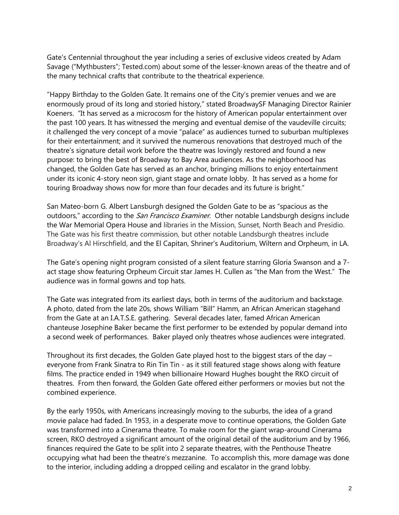Gate's Centennial throughout the year including a series of exclusive videos created by Adam Savage ("Mythbusters"; Tested.com) about some of the lesser-known areas of the theatre and of the many technical crafts that contribute to the theatrical experience.

"Happy Birthday to the Golden Gate. It remains one of the City's premier venues and we are enormously proud of its long and storied history," stated BroadwaySF Managing Director Rainier Koeners. "It has served as a microcosm for the history of American popular entertainment over the past 100 years. It has witnessed the merging and eventual demise of the vaudeville circuits; it challenged the very concept of a movie "palace" as audiences turned to suburban multiplexes for their entertainment; and it survived the numerous renovations that destroyed much of the theatre's signature detail work before the theatre was lovingly restored and found a new purpose: to bring the best of Broadway to Bay Area audiences. As the neighborhood has changed, the Golden Gate has served as an anchor, bringing millions to enjoy entertainment under its iconic 4-story neon sign, giant stage and ornate lobby. It has served as a home for touring Broadway shows now for more than four decades and its future is bright."

San Mateo-born G. Albert Lansburgh designed the Golden Gate to be as "spacious as the outdoors," according to the *San Francisco Examiner*. Other notable Landsburgh designs include the War Memorial Opera House and libraries in the Mission, Sunset, North Beach and Presidio. The Gate was his first theatre commission, but other notable Landsburgh theatres include Broadway's Al Hirschfield, and the El Capitan, Shriner's Auditorium, Wiltern and Orpheum, in LA.

The Gate's opening night program consisted of a silent feature starring Gloria Swanson and a 7 act stage show featuring Orpheum Circuit star James H. Cullen as "the Man from the West." The audience was in formal gowns and top hats.

The Gate was integrated from its earliest days, both in terms of the auditorium and backstage. A photo, dated from the late 20s, shows William "Bill" Hamm, an African American stagehand from the Gate at an I.A.T.S.E. gathering. Several decades later, famed African American chanteuse Josephine Baker became the first performer to be extended by popular demand into a second week of performances. Baker played only theatres whose audiences were integrated.

Throughout its first decades, the Golden Gate played host to the biggest stars of the day – everyone from Frank Sinatra to Rin Tin Tin - as it still featured stage shows along with feature films. The practice ended in 1949 when billionaire Howard Hughes bought the RKO circuit of theatres. From then forward, the Golden Gate offered either performers or movies but not the combined experience.

By the early 1950s, with Americans increasingly moving to the suburbs, the idea of a grand movie palace had faded. In 1953, in a desperate move to continue operations, the Golden Gate was transformed into a Cinerama theatre. To make room for the giant wrap-around Cinerama screen, RKO destroyed a significant amount of the original detail of the auditorium and by 1966, finances required the Gate to be split into 2 separate theatres, with the Penthouse Theatre occupying what had been the theatre's mezzanine. To accomplish this, more damage was done to the interior, including adding a dropped ceiling and escalator in the grand lobby.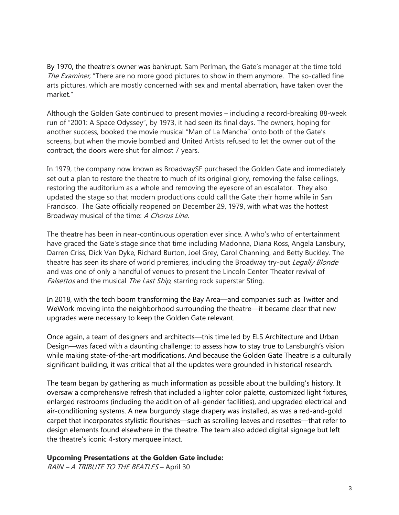By 1970, the theatre's owner was bankrupt. Sam Perlman, the Gate's manager at the time told The Examiner, "There are no more good pictures to show in them anymore. The so-called fine arts pictures, which are mostly concerned with sex and mental aberration, have taken over the market."

Although the Golden Gate continued to present movies – including a record-breaking 88-week run of "2001: A Space Odyssey", by 1973, it had seen its final days. The owners, hoping for another success, booked the movie musical "Man of La Mancha" onto both of the Gate's screens, but when the movie bombed and United Artists refused to let the owner out of the contract, the doors were shut for almost 7 years.

In 1979, the company now known as BroadwaySF purchased the Golden Gate and immediately set out a plan to restore the theatre to much of its original glory, removing the false ceilings, restoring the auditorium as a whole and removing the eyesore of an escalator. They also updated the stage so that modern productions could call the Gate their home while in San Francisco. The Gate officially reopened on December 29, 1979, with what was the hottest Broadway musical of the time: A Chorus Line.

The theatre has been in near-continuous operation ever since. A who's who of entertainment have graced the Gate's stage since that time including Madonna, Diana Ross, Angela Lansbury, Darren Criss, Dick Van Dyke, Richard Burton, Joel Grey, Carol Channing, and Betty Buckley. The theatre has seen its share of world premieres, including the Broadway try-out Legally Blonde and was one of only a handful of venues to present the Lincoln Center Theater revival of Falsettos and the musical The Last Ship, starring rock superstar Sting.

In 2018, with the tech boom transforming the Bay Area—and companies such as Twitter and WeWork moving into the neighborhood surrounding the theatre—it became clear that new upgrades were necessary to keep the Golden Gate relevant.

Once again, a team of designers and architects—this time led by ELS Architecture and Urban Design—was faced with a daunting challenge: to assess how to stay true to Lansburgh's vision while making state-of-the-art modifications. And because the Golden Gate Theatre is a culturally significant building, it was critical that all the updates were grounded in historical research.

The team began by gathering as much information as possible about the building's history. It oversaw a comprehensive refresh that included a lighter color palette, customized light fixtures, enlarged restrooms (including the addition of all-gender facilities), and upgraded electrical and air-conditioning systems. A new burgundy stage drapery was installed, as was a red-and-gold carpet that incorporates stylistic flourishes—such as scrolling leaves and rosettes—that refer to design elements found elsewhere in the theatre. The team also added digital signage but left the theatre's iconic 4-story marquee intact.

#### **Upcoming Presentations at the Golden Gate include:**

RAIN – A TRIBUTE TO THE BEATLES – April 30